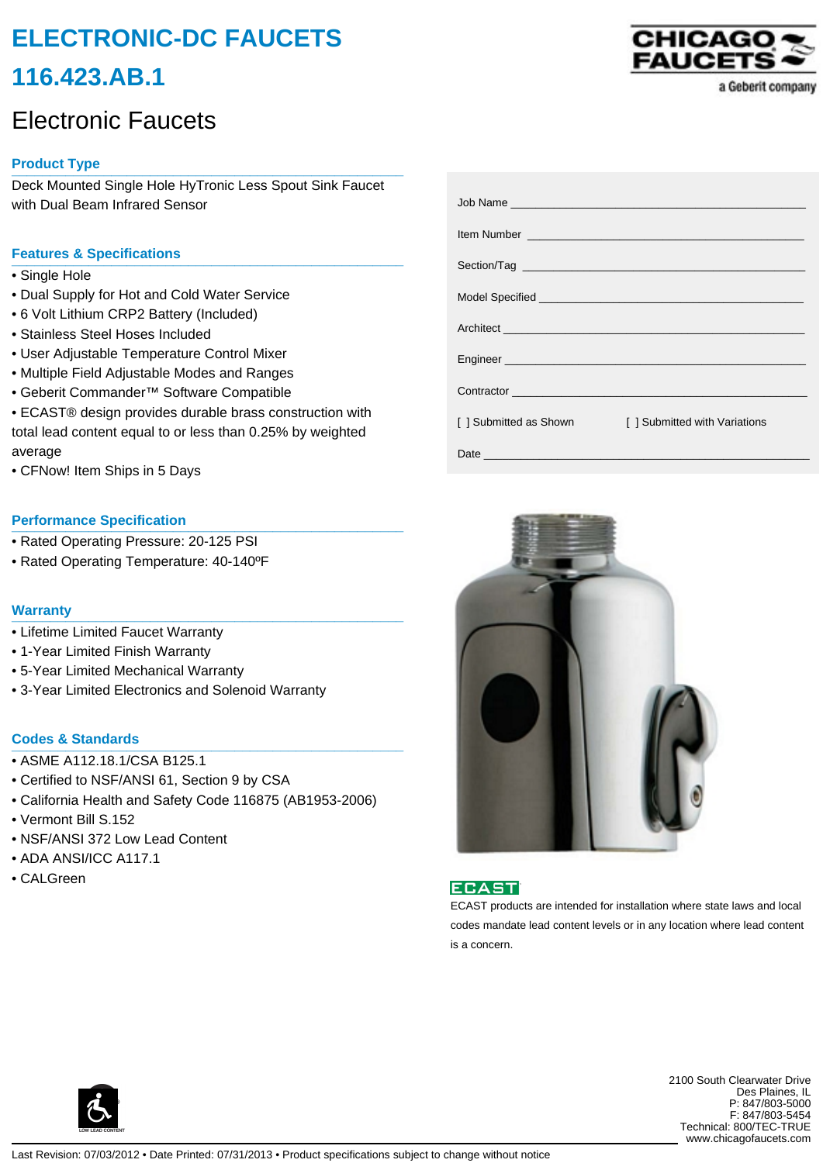# **ELECTRONIC-DC FAUCETS 116.423.AB.1**

# Electronic Faucets

# **Product Type \_\_\_\_\_\_\_\_\_\_\_\_\_\_\_\_\_\_\_\_\_\_\_\_\_\_\_\_\_\_\_\_\_\_\_\_\_\_\_\_\_\_\_\_\_\_\_\_\_\_\_**

Deck Mounted Single Hole HyTronic Less Spout Sink Faucet with Dual Beam Infrared Sensor

# **Features & Specifications \_\_\_\_\_\_\_\_\_\_\_\_\_\_\_\_\_\_\_\_\_\_\_\_\_\_\_\_\_\_\_\_\_\_\_\_\_\_\_\_\_\_\_\_\_\_\_\_\_\_\_**

- Single Hole
- Dual Supply for Hot and Cold Water Service
- 6 Volt Lithium CRP2 Battery (Included)
- Stainless Steel Hoses Included
- User Adjustable Temperature Control Mixer
- Multiple Field Adjustable Modes and Ranges
- Geberit Commander™ Software Compatible
- ECAST® design provides durable brass construction with total lead content equal to or less than 0.25% by weighted average
- CFNow! Item Ships in 5 Days

#### **Performance Specification**

- Rated Operating Pressure: 20-125 PSI
- Rated Operating Temperature: 40-140ºF

#### **Warranty \_\_\_\_\_\_\_\_\_\_\_\_\_\_\_\_\_\_\_\_\_\_\_\_\_\_\_\_\_\_\_\_\_\_\_\_\_\_\_\_\_\_\_\_\_\_\_\_\_\_\_**

- Lifetime Limited Faucet Warranty
- 1-Year Limited Finish Warranty
- 5-Year Limited Mechanical Warranty
- 3-Year Limited Electronics and Solenoid Warranty

### **Codes & Standards \_\_\_\_\_\_\_\_\_\_\_\_\_\_\_\_\_\_\_\_\_\_\_\_\_\_\_\_\_\_\_\_\_\_\_\_\_\_\_\_\_\_\_\_\_\_\_\_\_\_\_**

- ASME A112.18.1/CSA B125.1
- Certified to NSF/ANSI 61, Section 9 by CSA
- California Health and Safety Code 116875 (AB1953-2006)
- Vermont Bill S.152
- NSF/ANSI 372 Low Lead Content
- ADA ANSI/ICC A117.1
- CALGreen



| I 1 Submitted as Shown | [ ] Submitted with Variations |
|------------------------|-------------------------------|
|                        |                               |





ECAST products are intended for installation where state laws and local codes mandate lead content levels or in any location where lead content is a concern.



2100 South Clearwater Drive Des Plaines, IL P: 847/803-5000 F: 847/803-5454 Technical: 800/TEC-TRUE www.chicagofaucets.com